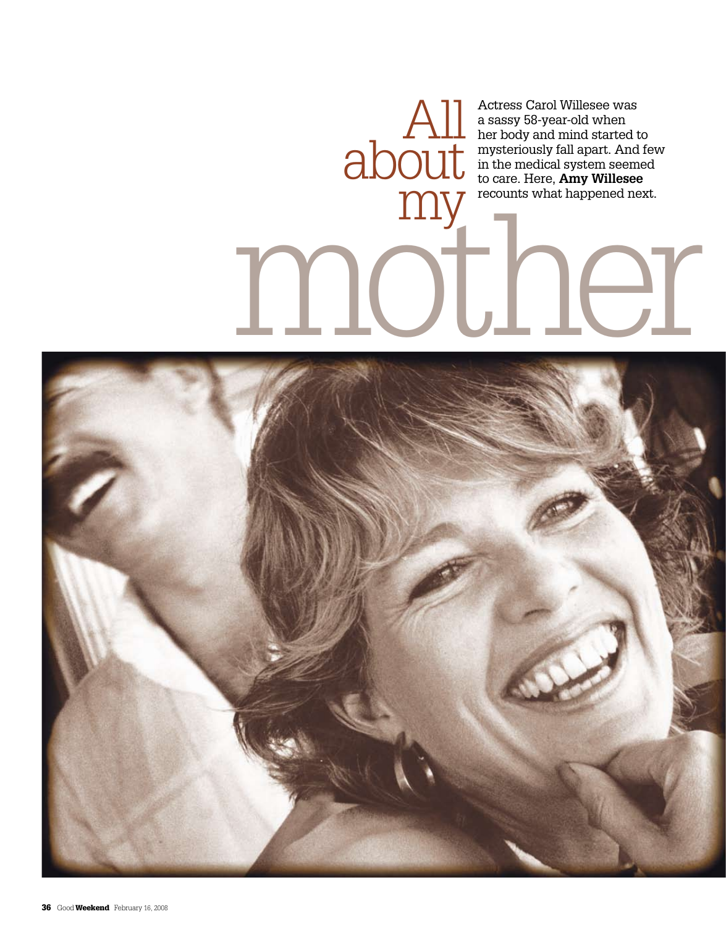Actress Carol Willesee was a sassy 58-year-old when her body and mind started to mysteriously fall apart. And few in the medical system seemed to care. Here, **Amy Willesee**  recounts what happened next. All

## my recounts what happened next.

about

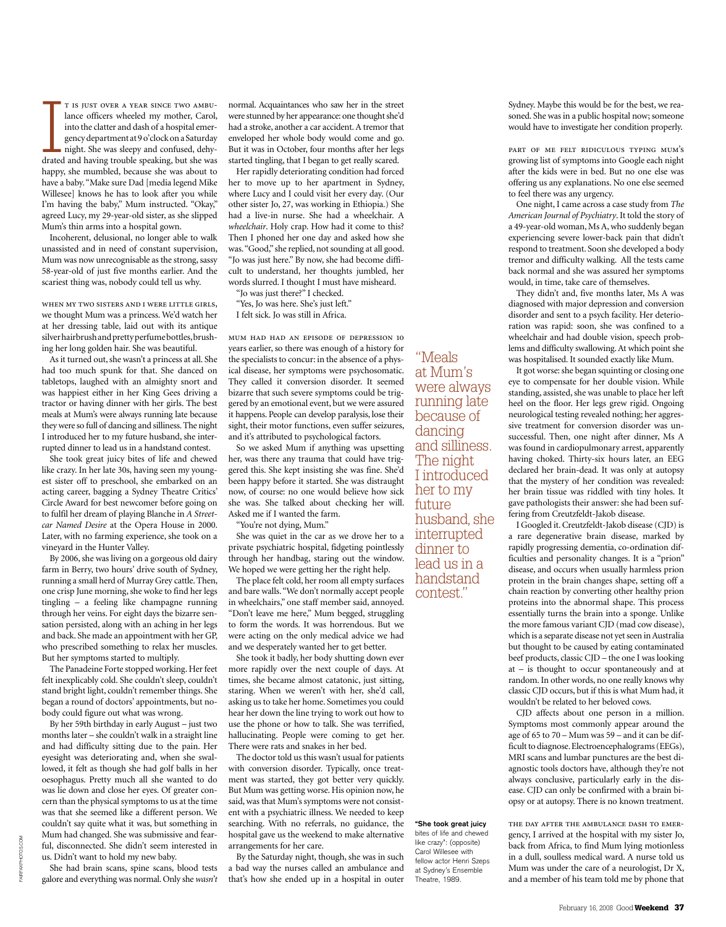T IS JUST OVER A YEAR SINCE TWO AMBU-<br>lance officers wheeled my mother, Carol,<br>into the clatter and dash of a hospital emer-<br>gency department at 9 o'clock on a Saturday<br>night. She was sleepy and confused, dehy-<br>drated and t is just over a year since two ambulance officers wheeled my mother, Carol, into the clatter and dash of a hospital emergency department at 9 o'clock on a Saturday night. She was sleepy and confused, dehyhappy, she mumbled, because she was about to have a baby. "Make sure Dad [media legend Mike Willesee] knows he has to look after you while I'm having the baby," Mum instructed. "Okay," agreed Lucy, my 29-year-old sister, as she slipped Mum's thin arms into a hospital gown.

Incoherent, delusional, no longer able to walk unassisted and in need of constant supervision, Mum was now unrecognisable as the strong, sassy 58-year-old of just five months earlier. And the scariest thing was, nobody could tell us why.

when my two sisters and i were little girls, we thought Mum was a princess. We'd watch her at her dressing table, laid out with its antique silver hairbrush and pretty perfume bottles, brushing her long golden hair. She was beautiful.

As it turned out, she wasn't a princess at all. She had too much spunk for that. She danced on tabletops, laughed with an almighty snort and was happiest either in her King Gees driving a tractor or having dinner with her girls. The best meals at Mum's were always running late because they were so full of dancing and silliness. The night I introduced her to my future husband, she interrupted dinner to lead us in a handstand contest.

She took great juicy bites of life and chewed like crazy. In her late 30s, having seen my youngest sister off to preschool, she embarked on an acting career, bagging a Sydney Theatre Critics' Circle Award for best newcomer before going on to fulfil her dream of playing Blanche in *A Streetcar Named Desire* at the Opera House in 2000. Later, with no farming experience, she took on a vineyard in the Hunter Valley.

By 2006, she was living on a gorgeous old dairy farm in Berry, two hours' drive south of Sydney, running a small herd of Murray Grey cattle. Then, one crisp June morning, she woke to find her legs tingling – a feeling like champagne running through her veins. For eight days the bizarre sensation persisted, along with an aching in her legs and back. She made an appointment with her GP, who prescribed something to relax her muscles. But her symptoms started to multiply.

The Panadeine Forte stopped working. Her feet felt inexplicably cold. She couldn't sleep, couldn't stand bright light, couldn't remember things. She began a round of doctors' appointments, but nobody could figure out what was wrong.

By her 59th birthday in early August – just two months later – she couldn't walk in a straight line and had difficulty sitting due to the pain. Her eyesight was deteriorating and, when she swallowed, it felt as though she had golf balls in her oesophagus. Pretty much all she wanted to do was lie down and close her eyes. Of greater concern than the physical symptoms to us at the time was that she seemed like a different person. We couldn't say quite what it was, but something in Mum had changed. She was submissive and fearful, disconnected. She didn't seem interested in us. Didn't want to hold my new baby.

She had brain scans, spine scans, blood tests galore and everything was normal. Only she *wasn't* normal. Acquaintances who saw her in the street were stunned by her appearance: one thought she'd had a stroke, another a car accident. A tremor that enveloped her whole body would come and go. But it was in October, four months after her legs started tingling, that I began to get really scared.

Her rapidly deteriorating condition had forced her to move up to her apartment in Sydney, where Lucy and I could visit her every day. (Our other sister Jo, 27, was working in Ethiopia.) She had a live-in nurse. She had a wheelchair. A *wheelchair*. Holy crap. How had it come to this? Then I phoned her one day and asked how she was. "Good," she replied, not sounding at all good. "Jo was just here." By now, she had become difficult to understand, her thoughts jumbled, her words slurred. I thought I must have misheard.

"Jo was just there?" I checked. "Yes, Jo was here. She's just left."

I felt sick. Jo was still in Africa.

mum had had an episode of depression 10 years earlier, so there was enough of a history for the specialists to concur: in the absence of a physical disease, her symptoms were psychosomatic. They called it conversion disorder. It seemed bizarre that such severe symptoms could be triggered by an emotional event, but we were assured it happens. People can develop paralysis, lose their sight, their motor functions, even suffer seizures, and it's attributed to psychological factors.

So we asked Mum if anything was upsetting her, was there any trauma that could have triggered this. She kept insisting she was fine. She'd been happy before it started. She was distraught now, of course: no one would believe how sick she was. She talked about checking her will. Asked me if I wanted the farm.

"You're not dying, Mum."

She was quiet in the car as we drove her to a private psychiatric hospital, fidgeting pointlessly through her handbag, staring out the window. We hoped we were getting her the right help.

The place felt cold, her room all empty surfaces and bare walls. "We don't normally accept people in wheelchairs," one staff member said, annoyed. "Don't leave me here," Mum begged, struggling to form the words. It was horrendous. But we were acting on the only medical advice we had and we desperately wanted her to get better.

She took it badly, her body shutting down ever more rapidly over the next couple of days. At times, she became almost catatonic, just sitting, staring. When we weren't with her, she'd call, asking us to take her home. Sometimes you could hear her down the line trying to work out how to use the phone or how to talk. She was terrified, hallucinating. People were coming to get her. There were rats and snakes in her bed.

The doctor told us this wasn't usual for patients with conversion disorder. Typically, once treatment was started, they got better very quickly. But Mum was getting worse. His opinion now, he said, was that Mum's symptoms were not consistent with a psychiatric illness. We needed to keep searching. With no referrals, no guidance, the hospital gave us the weekend to make alternative arrangements for her care.

By the Saturday night, though, she was in such a bad way the nurses called an ambulance and that's how she ended up in a hospital in outer

"Meals at Mum's were always running late because of dancing and silliness. The night I introduced her to my future husband, she interrupted dinner to lead us in a handstand contest."

**"She took great juicy**  bites of life and chewed like crazy": (opposite) Carol Willesee with fellow actor Henri Szeps at Sydney's Ensemble Theatre, 1989.

Sydney. Maybe this would be for the best, we reasoned. She was in a public hospital now; someone would have to investigate her condition properly.

part of me felt ridiculous typing mum's growing list of symptoms into Google each night after the kids were in bed. But no one else was offering us any explanations. No one else seemed to feel there was any urgency.

One night, I came across a case study from *The American Journal of Psychiatry*. It told the story of a 49-year-old woman, Ms A, who suddenly began experiencing severe lower-back pain that didn't respond to treatment. Soon she developed a body tremor and difficulty walking. All the tests came back normal and she was assured her symptoms would, in time, take care of themselves.

They didn't and, five months later, Ms A was diagnosed with major depression and conversion disorder and sent to a psych facility. Her deterioration was rapid: soon, she was confined to a wheelchair and had double vision, speech problems and difficulty swallowing. At which point she was hospitalised. It sounded exactly like Mum.

It got worse: she began squinting or closing one eye to compensate for her double vision. While standing, assisted, she was unable to place her left heel on the floor. Her legs grew rigid. Ongoing neurological testing revealed nothing; her aggressive treatment for conversion disorder was unsuccessful. Then, one night after dinner, Ms A was found in cardiopulmonary arrest, apparently having choked. Thirty-six hours later, an EEG declared her brain-dead. It was only at autopsy that the mystery of her condition was revealed: her brain tissue was riddled with tiny holes. It gave pathologists their answer: she had been suffering from Creutzfeldt-Jakob disease.

I Googled it. Creutzfeldt-Jakob disease (CJD) is a rare degenerative brain disease, marked by rapidly progressing dementia, co-ordination difficulties and personality changes. It is a "prion" disease, and occurs when usually harmless prion protein in the brain changes shape, setting off a chain reaction by converting other healthy prion proteins into the abnormal shape. This process essentially turns the brain into a sponge. Unlike the more famous variant CJD (mad cow disease), which is a separate disease not yet seen in Australia but thought to be caused by eating contaminated beef products, classic CJD – the one I was looking at – is thought to occur spontaneously and at random. In other words, no one really knows why classic CJD occurs, but if this is what Mum had, it wouldn't be related to her beloved cows.

CJD affects about one person in a million. Symptoms most commonly appear around the age of 65 to 70 – Mum was 59 – and it can be difficult to diagnose. Electroencephalograms (EEGs), MRI scans and lumbar punctures are the best diagnostic tools doctors have, although they're not always conclusive, particularly early in the disease. CJD can only be confirmed with a brain biopsy or at autopsy. There is no known treatment.

the day after the ambulance dash to emergency, I arrived at the hospital with my sister Jo, back from Africa, to find Mum lying motionless in a dull, soulless medical ward. A nurse told us Mum was under the care of a neurologist, Dr X, and a member of his team told me by phone that